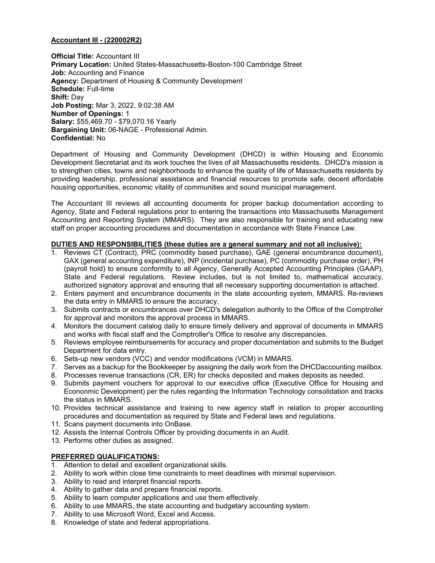# Accountant III - (220002R2)

**Official Title: Accountant III** Primary Location: United States-Massachusetts-Boston-100 Cambridge Street Job: Accounting and Finance Agency: Department of Housing & Community Development Schedule: Full-time Shift: Day Job Posting: Mar 3, 2022, 9:02:38 AM Number of Openings: 1 Salary: \$55,469.70 - \$79,070.16 Yearly Bargaining Unit: 06-NAGE - Professional Admin. Confidential: No

Department of Housing and Community Development (DHCD) is within Housing and Economic Development Secretariat and its work touches the lives of all Massachusetts residents. DHCD's mission is to strengthen cities, towns and neighborhoods to enhance the quality of life of Massachusetts residents by providing leadership, professional assistance and financial resources to promote safe, decent affordable housing opportunities, economic vitality of communities and sound municipal management.

The Accountant III reviews all accounting documents for proper backup documentation according to Agency, State and Federal regulations prior to entering the transactions into Massachusetts Management Accounting and Reporting System (MMARS). They are also responsible for training and educating new staff on proper accounting procedures and documentation in accordance with State Finance Law.

# DUTIES AND RESPONSIBILITIES (these duties are a general summary and not all inclusive):

- 1. Reviews CT (Contract), PRC (commodity based purchase), GAE (general encumbrance document), GAX (general accounting expenditure), INP (incidental purchase), PC (commodity purchase order), PH (payroll hold) to ensure conformity to all Agency, Generally Accepted Accounting Principles (GAAP), State and Federal regulations. Review includes, but is not limited to, mathematical accuracy, authorized signatory approval and ensuring that all necessary supporting documentation is attached.
- 2. Enters payment and encumbrance documents in the state accounting system, MMARS. Re-reviews the data entry in MMARS to ensure the accuracy.
- 3. Submits contracts or encumbrances over DHCD's delegation authority to the Office of the Comptroller for approval and monitors the approval process in MMARS.
- 4. Monitors the document catalog daily to ensure timely delivery and approval of documents in MMARS and works with fiscal staff and the Comptroller's Office to resolve any discrepancies.
- 5. Reviews employee reimbursements for accuracy and proper documentation and submits to the Budget Department for data entry.
- 6. Sets-up new vendors (VCC) and vendor modifications (VCM) in MMARS.
- 7. Serves as a backup for the Bookkeeper by assigning the daily work from the DHCDaccounting mailbox.
- 8. Processes revenue transactions (CR, ER) for checks deposited and makes deposits as needed.
- 9. Submits payment vouchers for approval to our executive office (Executive Office for Housing and Econonmic Development) per the rules regarding the Information Technology consolidation and tracks the status in MMARS.
- 10. Provides technical assistance and training to new agency staff in relation to proper accounting procedures and documentation as required by State and Federal laws and regulations.
- 11. Scans payment documents into OnBase.
- 12. Assists the Internal Controls Officer by providing documents in an Audit.
- 13. Performs other duties as assigned.

# PREFERRED QUALIFICATIONS:

- 1. Attention to detail and excellent organizational skills.
- 2. Ability to work within close time constraints to meet deadlines with minimal supervision.
- 3. Ability to read and interpret financial reports.
- 4. Ability to gather data and prepare financial reports.
- 5. Ability to learn computer applications and use them effectively.
- 6. Ability to use MMARS, the state accounting and budgetary accounting system.
- 7. Ability to use Microsoft Word, Excel and Access.
- 8. Knowledge of state and federal appropriations.